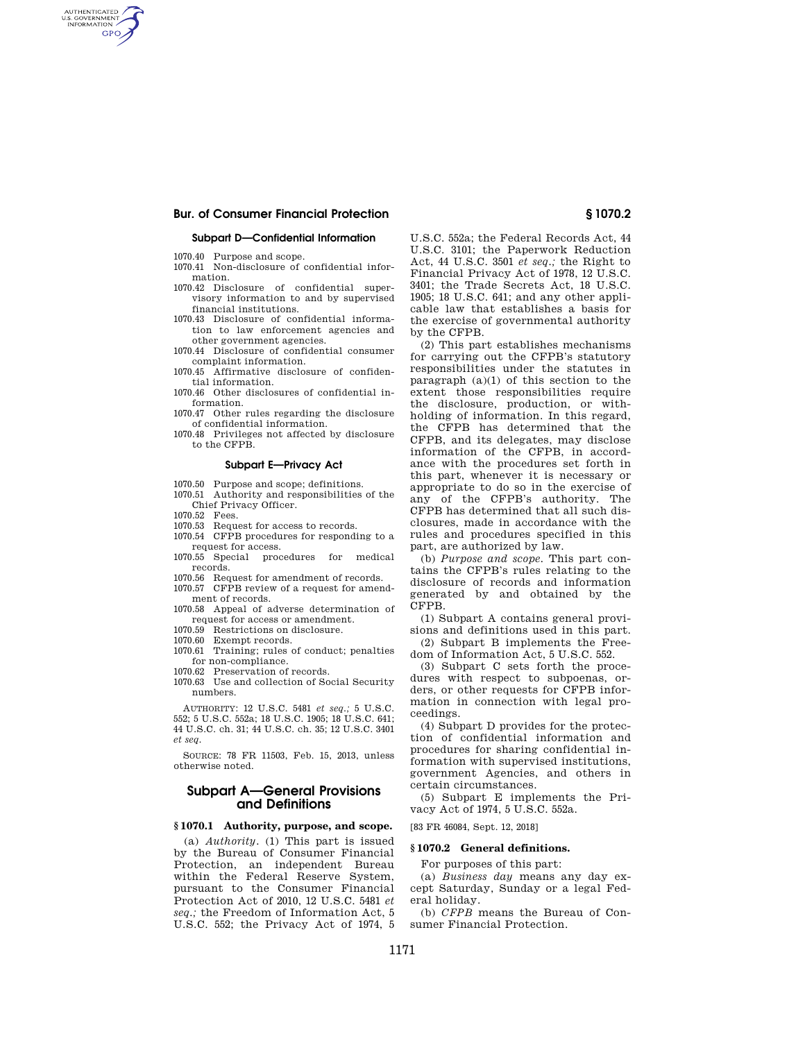# **Bur. of Consumer Financial Protection § 1070.2**

#### **Subpart D—Confidential Information**

1070.40 Purpose and scope.

AUTHENTICATED<br>U.S. GOVERNMENT<br>INFORMATION **GPO** 

- 1070.41 Non-disclosure of confidential information.
- 1070.42 Disclosure of confidential supervisory information to and by supervised financial institutions.
- 1070.43 Disclosure of confidential information to law enforcement agencies and other government agencies.
- 1070.44 Disclosure of confidential consumer complaint information.
- 1070.45 Affirmative disclosure of confidential information.
- 1070.46 Other disclosures of confidential information.

1070.47 Other rules regarding the disclosure of confidential information.

1070.48 Privileges not affected by disclosure to the CFPB.

#### **Subpart E—Privacy Act**

- 1070.50 Purpose and scope; definitions.
- 1070.51 Authority and responsibilities of the Chief Privacy Officer.
- 1070.52 Fees.
- 1070.53 Request for access to records.
- 1070.54 CFPB procedures for responding to a
- request for access. 1070.55 Special procedures for medical records.
- 1070.56 Request for amendment of records.
- 1070.57 CFPB review of a request for amendment of records.
- 1070.58 Appeal of adverse determination of request for access or amendment.
- 1070.59 Restrictions on disclosure.
- 1070.60 Exempt records.
- 1070.61 Training; rules of conduct; penalties for non-compliance.
- 1070.62 Preservation of records.
- 1070.63 Use and collection of Social Security numbers.

AUTHORITY: 12 U.S.C. 5481 *et seq.;* 5 U.S.C. 552; 5 U.S.C. 552a; 18 U.S.C. 1905; 18 U.S.C. 641; 44 U.S.C. ch. 31; 44 U.S.C. ch. 35; 12 U.S.C. 3401 *et seq.* 

SOURCE: 78 FR 11503, Feb. 15, 2013, unless otherwise noted.

## **Subpart A—General Provisions and Definitions**

#### **§ 1070.1 Authority, purpose, and scope.**

(a) *Authority.* (1) This part is issued by the Bureau of Consumer Financial Protection, an independent Bureau within the Federal Reserve System, pursuant to the Consumer Financial Protection Act of 2010, 12 U.S.C. 5481 *et seq.;* the Freedom of Information Act, 5 U.S.C. 552; the Privacy Act of 1974, 5

U.S.C. 552a; the Federal Records Act, 44 U.S.C. 3101; the Paperwork Reduction Act, 44 U.S.C. 3501 *et seq.;* the Right to Financial Privacy Act of 1978, 12 U.S.C. 3401; the Trade Secrets Act, 18 U.S.C. 1905; 18 U.S.C. 641; and any other applicable law that establishes a basis for the exercise of governmental authority by the CFPB.

(2) This part establishes mechanisms for carrying out the CFPB's statutory responsibilities under the statutes in paragraph  $(a)(1)$  of this section to the extent those responsibilities require the disclosure, production, or withholding of information. In this regard, the CFPB has determined that the CFPB, and its delegates, may disclose information of the CFPB, in accordance with the procedures set forth in this part, whenever it is necessary or appropriate to do so in the exercise of any of the CFPB's authority. The CFPB has determined that all such disclosures, made in accordance with the rules and procedures specified in this part, are authorized by law.

(b) *Purpose and scope.* This part contains the CFPB's rules relating to the disclosure of records and information generated by and obtained by the CFPB.

(1) Subpart A contains general provisions and definitions used in this part.

(2) Subpart B implements the Freedom of Information Act, 5 U.S.C. 552.

(3) Subpart C sets forth the procedures with respect to subpoenas, orders, or other requests for CFPB information in connection with legal proceedings.

(4) Subpart D provides for the protection of confidential information and procedures for sharing confidential information with supervised institutions, government Agencies, and others in certain circumstances.

(5) Subpart E implements the Privacy Act of 1974, 5 U.S.C. 552a.

[83 FR 46084, Sept. 12, 2018]

#### **§ 1070.2 General definitions.**

For purposes of this part:

(a) *Business day* means any day except Saturday, Sunday or a legal Federal holiday.

(b) *CFPB* means the Bureau of Consumer Financial Protection.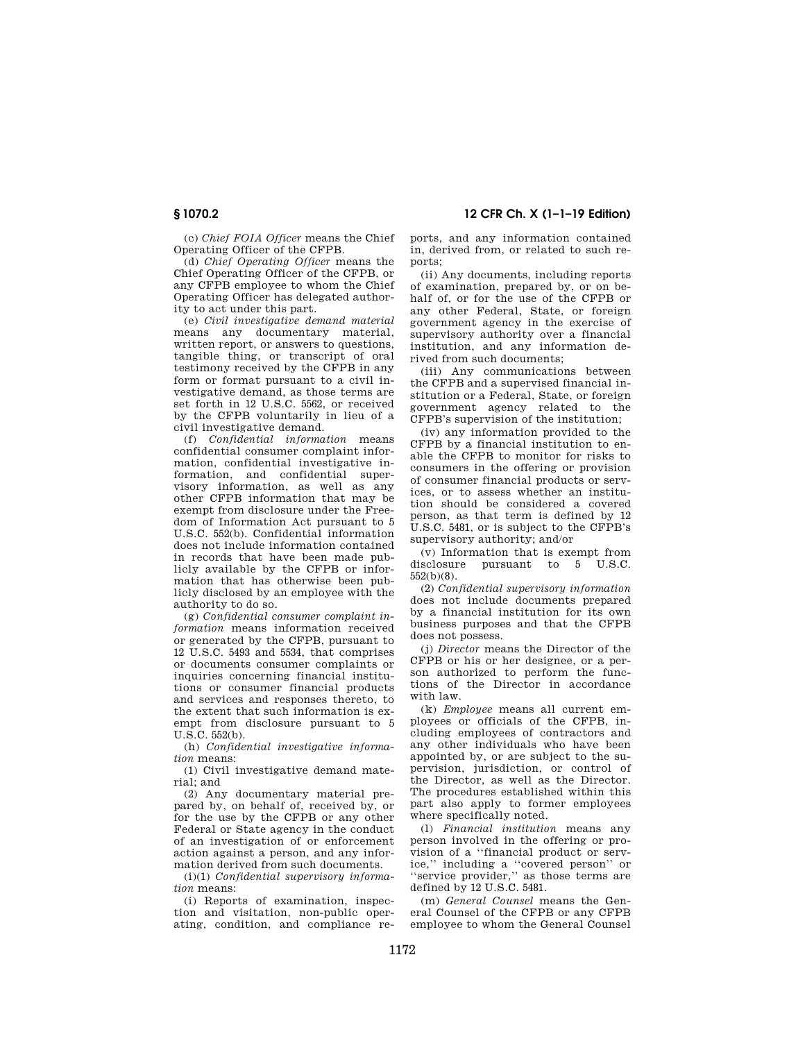**§ 1070.2 12 CFR Ch. X (1–1–19 Edition)** 

(c) *Chief FOIA Officer* means the Chief Operating Officer of the CFPB.

(d) *Chief Operating Officer* means the Chief Operating Officer of the CFPB, or any CFPB employee to whom the Chief Operating Officer has delegated authority to act under this part.

(e) *Civil investigative demand material*  means any documentary material, written report, or answers to questions. tangible thing, or transcript of oral testimony received by the CFPB in any form or format pursuant to a civil investigative demand, as those terms are set forth in 12 U.S.C. 5562, or received by the CFPB voluntarily in lieu of a civil investigative demand.

(f) *Confidential information* means confidential consumer complaint information, confidential investigative information, and confidential supervisory information, as well as any other CFPB information that may be exempt from disclosure under the Freedom of Information Act pursuant to 5 U.S.C. 552(b). Confidential information does not include information contained in records that have been made publicly available by the CFPB or information that has otherwise been publicly disclosed by an employee with the authority to do so.

(g) *Confidential consumer complaint information* means information received or generated by the CFPB, pursuant to 12 U.S.C. 5493 and 5534, that comprises or documents consumer complaints or inquiries concerning financial institutions or consumer financial products and services and responses thereto, to the extent that such information is exempt from disclosure pursuant to 5 U.S.C. 552(b).

(h) *Confidential investigative information* means:

(1) Civil investigative demand material; and

(2) Any documentary material prepared by, on behalf of, received by, or for the use by the CFPB or any other Federal or State agency in the conduct of an investigation of or enforcement action against a person, and any information derived from such documents.

(i)(1) *Confidential supervisory information* means:

(i) Reports of examination, inspection and visitation, non-public operating, condition, and compliance reports, and any information contained in, derived from, or related to such reports;

(ii) Any documents, including reports of examination, prepared by, or on behalf of, or for the use of the CFPB or any other Federal, State, or foreign government agency in the exercise of supervisory authority over a financial institution, and any information derived from such documents;

(iii) Any communications between the CFPB and a supervised financial institution or a Federal, State, or foreign government agency related to the CFPB's supervision of the institution;

(iv) any information provided to the CFPB by a financial institution to enable the CFPB to monitor for risks to consumers in the offering or provision of consumer financial products or services, or to assess whether an institution should be considered a covered person, as that term is defined by 12 U.S.C. 5481, or is subject to the CFPB's supervisory authority; and/or

(v) Information that is exempt from disclosure pursuant to 5 U.S.C. 552(b)(8).

(2) *Confidential supervisory information*  does not include documents prepared by a financial institution for its own business purposes and that the CFPB does not possess.

(j) *Director* means the Director of the CFPB or his or her designee, or a person authorized to perform the functions of the Director in accordance with law.

(k) *Employee* means all current employees or officials of the CFPB, including employees of contractors and any other individuals who have been appointed by, or are subject to the supervision, jurisdiction, or control of the Director, as well as the Director. The procedures established within this part also apply to former employees where specifically noted.

(l) *Financial institution* means any person involved in the offering or provision of a ''financial product or service,'' including a ''covered person'' or ''service provider,'' as those terms are defined by 12 U.S.C. 5481.

(m) *General Counsel* means the General Counsel of the CFPB or any CFPB employee to whom the General Counsel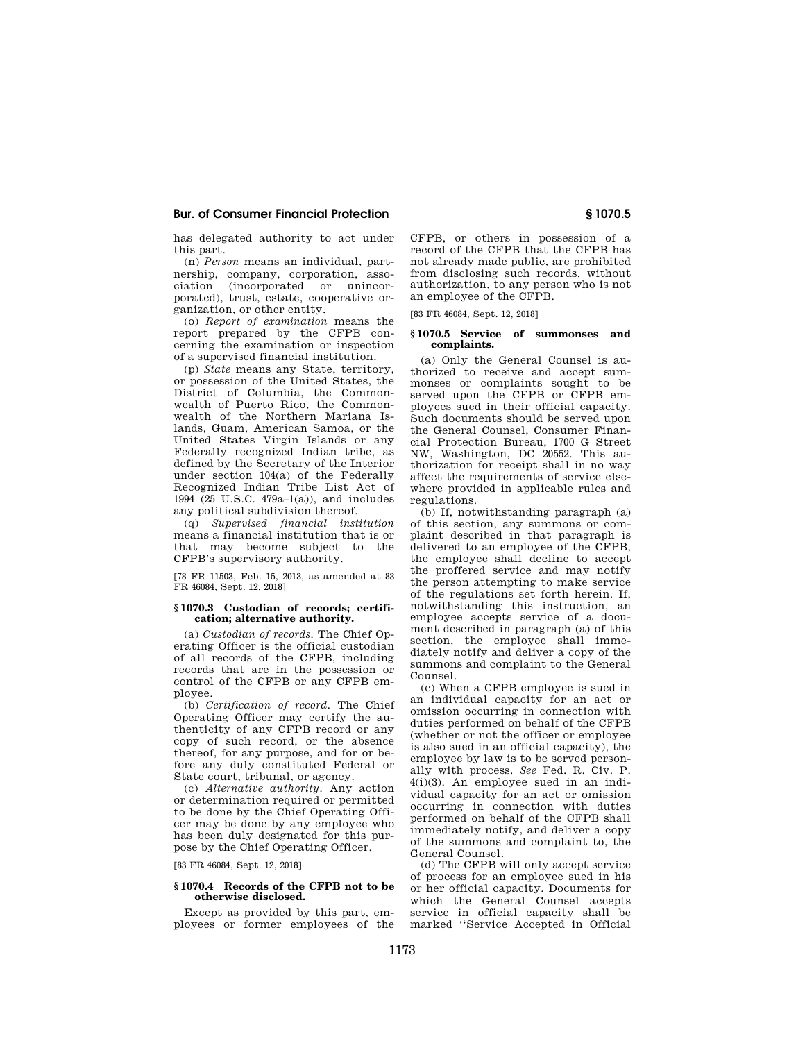## **Bur. of Consumer Financial Protection § 1070.5**

has delegated authority to act under this part.

(n) *Person* means an individual, partnership, company, corporation, association (incorporated or unincorporated), trust, estate, cooperative organization, or other entity.

(o) *Report of examination* means the report prepared by the CFPB concerning the examination or inspection of a supervised financial institution.

(p) *State* means any State, territory, or possession of the United States, the District of Columbia, the Commonwealth of Puerto Rico, the Commonwealth of the Northern Mariana Islands, Guam, American Samoa, or the United States Virgin Islands or any Federally recognized Indian tribe, as defined by the Secretary of the Interior under section 104(a) of the Federally Recognized Indian Tribe List Act of 1994 (25 U.S.C. 479a–1(a)), and includes any political subdivision thereof.

(q) *Supervised financial institution*  means a financial institution that is or that may become subject to the CFPB's supervisory authority.

[78 FR 11503, Feb. 15, 2013, as amended at 83 FR 46084, Sept. 12, 2018]

#### **§ 1070.3 Custodian of records; certification; alternative authority.**

(a) *Custodian of records.* The Chief Operating Officer is the official custodian of all records of the CFPB, including records that are in the possession or control of the CFPB or any CFPB employee.

(b) *Certification of record.* The Chief Operating Officer may certify the authenticity of any CFPB record or any copy of such record, or the absence thereof, for any purpose, and for or before any duly constituted Federal or State court, tribunal, or agency.

(c) *Alternative authority.* Any action or determination required or permitted to be done by the Chief Operating Officer may be done by any employee who has been duly designated for this purpose by the Chief Operating Officer.

[83 FR 46084, Sept. 12, 2018]

## **§ 1070.4 Records of the CFPB not to be otherwise disclosed.**

Except as provided by this part, employees or former employees of the CFPB, or others in possession of a record of the CFPB that the CFPB has not already made public, are prohibited from disclosing such records, without authorization, to any person who is not an employee of the CFPB.

[83 FR 46084, Sept. 12, 2018]

## **§ 1070.5 Service of summonses and complaints.**

(a) Only the General Counsel is authorized to receive and accept summonses or complaints sought to be served upon the CFPB or CFPB employees sued in their official capacity. Such documents should be served upon the General Counsel, Consumer Financial Protection Bureau, 1700 G Street NW, Washington, DC 20552. This authorization for receipt shall in no way affect the requirements of service elsewhere provided in applicable rules and regulations.

(b) If, notwithstanding paragraph (a) of this section, any summons or complaint described in that paragraph is delivered to an employee of the CFPB, the employee shall decline to accept the proffered service and may notify the person attempting to make service of the regulations set forth herein. If, notwithstanding this instruction, an employee accepts service of a document described in paragraph (a) of this section, the employee shall immediately notify and deliver a copy of the summons and complaint to the General Counsel.

(c) When a CFPB employee is sued in an individual capacity for an act or omission occurring in connection with duties performed on behalf of the CFPB (whether or not the officer or employee is also sued in an official capacity), the employee by law is to be served personally with process. *See* Fed. R. Civ. P. 4(i)(3). An employee sued in an individual capacity for an act or omission occurring in connection with duties performed on behalf of the CFPB shall immediately notify, and deliver a copy of the summons and complaint to, the General Counsel.

(d) The CFPB will only accept service of process for an employee sued in his or her official capacity. Documents for which the General Counsel accepts service in official capacity shall be marked ''Service Accepted in Official